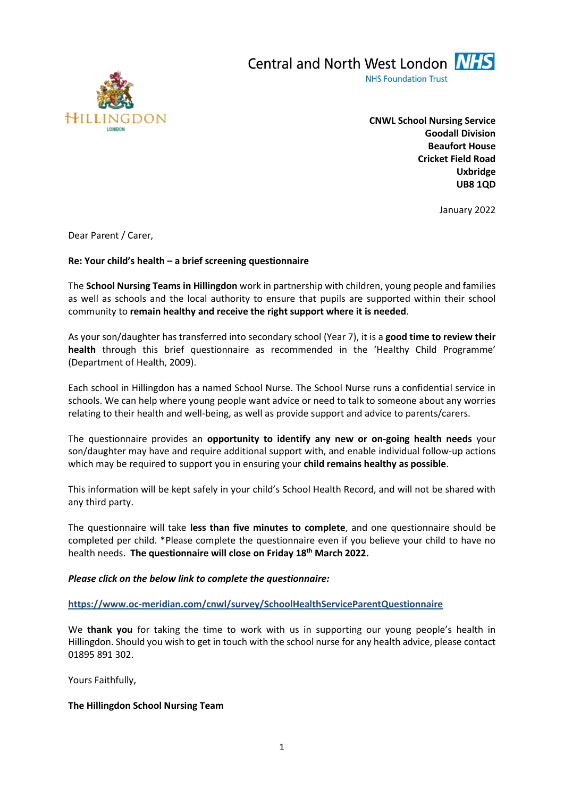

Central and North West London NHS **NHS Foundation Trust** 

> **CNWL School Nursing Service Goodall Division Beaufort House Cricket Field Road Uxbridge UB8 1QD**

> > January 2022

Dear Parent / Carer,

# **Re: Your child's health – a brief screening questionnaire**

The **School Nursing Teams in Hillingdon** work in partnership with children, young people and families as well as schools and the local authority to ensure that pupils are supported within their school community to **remain healthy and receive the right support where it is needed**.

As your son/daughter has transferred into secondary school (Year 7), it is a **good time to review their health** through this brief questionnaire as recommended in the 'Healthy Child Programme' (Department of Health, 2009).

Each school in Hillingdon has a named School Nurse. The School Nurse runs a confidential service in schools. We can help where young people want advice or need to talk to someone about any worries relating to their health and well-being, as well as provide support and advice to parents/carers.

The questionnaire provides an **opportunity to identify any new or on-going health needs** your son/daughter may have and require additional support with, and enable individual follow-up actions which may be required to support you in ensuring your **child remains healthy as possible**.

This information will be kept safely in your child's School Health Record, and will not be shared with any third party.

The questionnaire will take **less than five minutes to complete**, and one questionnaire should be completed per child. \*Please complete the questionnaire even if you believe your child to have no health needs. **The questionnaire will close on Friday 18th March 2022.** 

*Please click on the below link to complete the questionnaire:*

**<https://www.oc-meridian.com/cnwl/survey/SchoolHealthServiceParentQuestionnaire>**

We **thank you** for taking the time to work with us in supporting our young people's health in Hillingdon. Should you wish to get in touch with the school nurse for any health advice, please contact 01895 891 302.

Yours Faithfully,

# **The Hillingdon School Nursing Team**